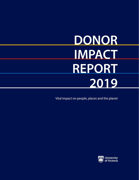# **DONOR IMPACT REPORT 2019**

Vital impact on people, places and the planet

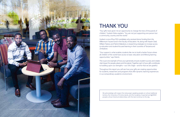## THANK YOU

"Your gifts have given me an opportunity to change the lives of thousands of children," Godwin Nnko explains. "You are not just supporting one person but a community, country and the world."

Godwin is one of four PhD candidates who received donor funding from the Millennium Futures fund in the Faculty of Education. He, along with Kassim Dadi, William Pastory and Patrick Makokoro, is researching strategies to increase access to education and student-focused learning in their countries of Tanzania and Zimbabwe.

"Your support is what enables students like me to build a better future where all children of the world have access to basic education and lifelong learning opportunities," says Patrick.

This is just one example of how your generosity ensures student success and creates vital impact for people, places and the planet. Together, each of your gifts contributes to building upon our strengths—our UVic Edge—and for that we are grateful.

Throughout this report you will see how your gifts are creating opportunities for students, researchers and programs that offer dynamic learning experiences in our extraordinary academic environment.



We acknowledge with respect the Lekwungen-speaking peoples on whose traditional territory the University of Victoria stands, and the Songhees, Esquimalt and WSÁNEC peoples whose historical relationships with the land continue to this day.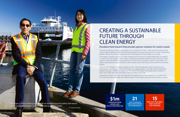**\$1m**

**DONATION FROM DENNIS AND PHYLLIS WASHINGTON**





## CREATING A SUSTAINABLE FUTURE THROUGH CLEAN ENERGY

### Donations fund research that provides greener solutions for marine vessels.

The next time you're on a ferry, pay attention to its movement as it turns—take note of the wind, and the current. These are all factors studied by mechanical engineer Dr. Zuomin Dong and the UVic Clean Transportation Research Team as they work to reduce the environmental impacts of marine vessels on our oceans.

The research is funded in part by a \$1 million donation from the Dennis and Phyllis Washington Foundation, in conjunction with Seaspan. Zuomin's team is developing integrated modelling tools to transition marine vessels to optimized hybrid natural-gas/electric and pure electric propulsion systems. These systems will greatly reduce greenhouse gas emissions as well as marine vessel noise, which can be harmful to underwater species.

"The hope is that by finding ways to use our limited resources better and reduce our environmental impact, we will be creating a better world."

Lily Chen, one of dozens of students working on UVic's Clean Transportation Team with Zuomin, was instrumental in developing a model-based system for a tugboat design. "I was able to talk to professional engineers and gain valuable knowledge from the industry," Lily recalls. "It has always been my dream to find a way to help make clean, renewable energy a standard world-wide."

Seeing their work put into action is an inspiration for students like Lily. "I'm so grateful for the opportunity to see how our work as engineers can make an impact on the industry and on the environment as a whole."

Dr. Zuomin Dong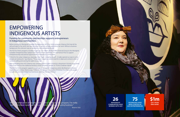



**26 INDIGENOUS COMMUNITIES HAVE WORKED WITH ACE** 

## EMPOWERING INDIGENOUS ARTISTS

### Funding for community partnerships supports entrepreneurs in Indigenous communities.

Before joining the Aboriginal Canadian Entrepreneurs (ACE) for Artists program, Brianna Dick had all the skill and talent of an artist, but was shy when it came to actively promoting her work. Without a business background, the unknown was an obstacle to commercializing her art.

The ACE for Artists program is funded, in part, by a \$1 million gift from BMO Financial Group to the Aboriginal Canadian Entrepreneurship Catalyst fund. That fund was created by Tim and Frances Price to support entrepreneurship educational opportunities in Indigenous communities.

"I think for the urban Indigenous classmates that I had—including myself—it really opened our eyes to what people are looking for," says Brianna. "The program taught us what to look for in deals and contracts when it comes to selling and owning the rights to your art."

After graduating from ACE, Brianna was commissioned to paint a mural at a downtown Victoria yoga centre. The mural honours the traditional territory of the Songhees people on Tl'ches (Chatham Island).

The ACE for Artists program supports a pathway to success for Indigenous artists like Brianna and fosters respectful partnerships. Brianna says, "I think for the general community of Victoria, it's a chance for people to really see and know Indigenous businesses and how they are thriving."

"With the motivation of people like my fiancé, family and this program, I've really been able to put myself out there and turn my art into a growing business."

Brianna Dick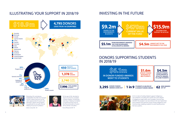



**FROM ENDOWMENTS AWARDED THIS YEAR IN BURSARIES,**   $\left\{55.1\text{m} \atop \text{SCHOLARSHIPS & AWARDS}\right\}$   $\left\{54.5\text{m} \atop \text{SCHOLARSHIPS & AWARDS}\right\}$ 



**DONOR-FUNDED 3,295** *AWARDS GIVEN OUT* | 1 in 9



 $$6.1m$ **IN DONOR-FUNDED AWARDS WENT TO STUDENTS**

### DONORS SUPPORTING STUDENTS IN 2018/19

Attending UVic and playing basketball for the Vikes has changed my life. In Brazil, there are not the same opportunities for sports and education. Words cannot express my gratitude for your gifts that are helping me pursue my dreams." Carlos Costa, BSc '20



**62 STUDENTS IS HELPED BY A DONOR-FUNDED AWARD**





Fiona Rheaume BA '19

\$2.1m in donor funding helped support Indigenous Law initiatives including the world's first joint degree in Indigenous legal orders and Canadian common law (JD/JID). The program was launched at UVic last September and combines the intensive study of both Indigenous and Common law, enabling students to work fluently across the two systems.

### ILLUSTRATING YOUR SUPPORT IN 2018/19 INVESTING IN THE FUTURE



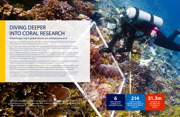8 9

**6 TRIPS MADE BY DANIELLE TO KIRITIMATI ISLAND**

## DIVING DEEPER INTO CORAL RESEARCH

### Philanthropy's role in global climate and ecological research.

Coral reefs are essential for maintaining the health of oceans and the planet, and they're under threat from climate change and a host of other human created stressors.

"One of the biggest threats to coral reefs is the warming of the ocean due to weather events like El Nino," explains PhD student Danielle Claar. "But we can't protect them if we don't understand the effect our actions and the changing temperature of the ocean have on them."

Her research is focused on what allows corals to recover under duress from fishing, runoff and weather events like El Niño. "My most exciting finding was that corals started to recover even before the El Niño ended," says Danielle. "It showed given the right advantages, some corals can survive and thrive even under duress."

With the help of the Edward Basset Family Scholarship and the Donald Wagg Graduate Scholarship, Danielle undertook field research, in partnership with UVic's Baum Lab, on Kiritimati Island, a remote and sparsely populated island south of Hawaii. "The scholarship eased the financial burden of traveling and allowed me to concentrate on my research," she explains.

The people living on Kiritimati rely heavily on harvesting the fish that live in the coral surrounding the island. "Coral is not just a rock," says Danielle. "It's an ecosystem that supports many lifeforms."

Danielle presented her data to Kiritimati officials demonstrating how local actions can impact the coral reefs surrounding their island. "The hope is that by learning as much as we can about the reefs themselves, we can develop strategies and plans to give them the best chance of survival," says Danielle.

"I am extraordinarily thankful for donor support. It has allowed me to work toward furthering our knowledge of ecosystem resilience in order to better understand the fate of coral reefs in a changing ocean."

Danielle Claar



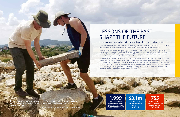10 11

## LESSONS OF THE PAST SHAPE THE FUTURE

### Immersing undergraduates in extraordinary learning environments.

A rare discovery on a field school in Greece set Jacob Engstrom on his path of self-discovery. "It's an incredible feeling to hold something in your hand that hasn't been seen in thousands of years," he explains.

Jacob was working on an archaeological project at ancient Eleon, UVic's co-sponsored excavation site in Greece, when he unearthed a small ceramic jar with a long extraordinary history. "It was a nearly complete stirrup jar that was used for oils and perfume almost 3,000 years ago," he recounts. "It was like everything clicked into place, and I couldn't wait to research and learn more."

"It was a massively formative experience for me to live abroad and participate in archeological projects and it wouldn't have been possible without the support of travel funding.

Thanks to the Robert J. Murphy Travel Award in Greek and Roman Studies, and the Elias Mandel Prize for Study Abroad In Humanities, Jacob is returning to Eleon for the third time. The hands-on experience is allowing him to pursure undergraduate research on the burial practices and rituals of the Early Mycenean society. He hopes to better understand the role ancient societies had on today's social structure and traditions. "I am so grateful for the support I've received from donors," says Jacob. "Thanks to their generosity, I am part of advancing research that is having a vital impact on how we view history."



**\$3.1m AWARDED TO UNDERGRADUATE STUDENTS IN 2018/2019**

**755 FIELD SCHOOLS, CO-OPS AND RESEARCH OPPORTUNITIES AVAILABLE**

Jacob Engstrom (left) pictured with fellow student at ancient Eleon.